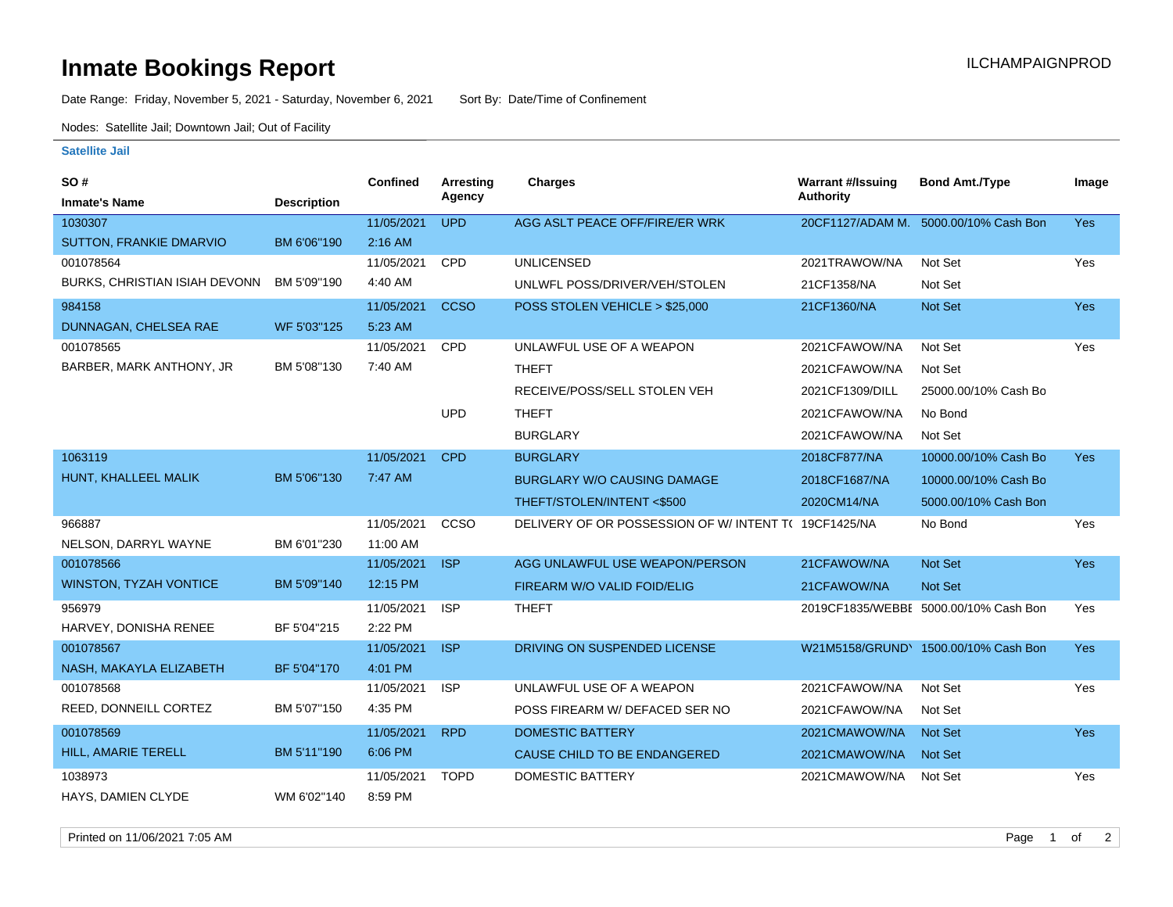## **Inmate Bookings Report International Contract Contract Contract Contract Contract Contract Contract Contract Contract Contract Contract Contract Contract Contract Contract Contract Contract Contract Contract Contract Co**

Date Range: Friday, November 5, 2021 - Saturday, November 6, 2021 Sort By: Date/Time of Confinement

Nodes: Satellite Jail; Downtown Jail; Out of Facility

## **Satellite Jail**

| SO#                           |                    | <b>Confined</b> | Arresting   | <b>Charges</b>                                       | <b>Warrant #/Issuing</b> | <b>Bond Amt./Type</b>                 | Image      |
|-------------------------------|--------------------|-----------------|-------------|------------------------------------------------------|--------------------------|---------------------------------------|------------|
| <b>Inmate's Name</b>          | <b>Description</b> |                 | Agency      |                                                      | <b>Authority</b>         |                                       |            |
| 1030307                       |                    | 11/05/2021      | <b>UPD</b>  | AGG ASLT PEACE OFF/FIRE/ER WRK                       |                          | 20CF1127/ADAM M. 5000.00/10% Cash Bon | <b>Yes</b> |
| SUTTON, FRANKIE DMARVIO       | BM 6'06"190        | $2:16$ AM       |             |                                                      |                          |                                       |            |
| 001078564                     |                    | 11/05/2021      | <b>CPD</b>  | <b>UNLICENSED</b>                                    | 2021TRAWOW/NA            | Not Set                               | Yes        |
| BURKS, CHRISTIAN ISIAH DEVONN | BM 5'09"190        | 4:40 AM         |             | UNLWFL POSS/DRIVER/VEH/STOLEN                        | 21CF1358/NA              | Not Set                               |            |
| 984158                        |                    | 11/05/2021      | <b>CCSO</b> | POSS STOLEN VEHICLE > \$25,000                       | 21CF1360/NA              | Not Set                               | <b>Yes</b> |
| DUNNAGAN, CHELSEA RAE         | WF 5'03"125        | 5:23 AM         |             |                                                      |                          |                                       |            |
| 001078565                     |                    | 11/05/2021      | <b>CPD</b>  | UNLAWFUL USE OF A WEAPON                             | 2021CFAWOW/NA            | Not Set                               | Yes        |
| BARBER, MARK ANTHONY, JR      | BM 5'08"130        | 7:40 AM         |             | <b>THEFT</b>                                         | 2021CFAWOW/NA            | Not Set                               |            |
|                               |                    |                 |             | RECEIVE/POSS/SELL STOLEN VEH                         | 2021CF1309/DILL          | 25000.00/10% Cash Bo                  |            |
|                               |                    |                 | <b>UPD</b>  | <b>THEFT</b>                                         | 2021CFAWOW/NA            | No Bond                               |            |
|                               |                    |                 |             | <b>BURGLARY</b>                                      | 2021CFAWOW/NA            | Not Set                               |            |
| 1063119                       |                    | 11/05/2021      | <b>CPD</b>  | <b>BURGLARY</b>                                      | 2018CF877/NA             | 10000.00/10% Cash Bo                  | <b>Yes</b> |
| HUNT, KHALLEEL MALIK          | BM 5'06"130        | 7:47 AM         |             | <b>BURGLARY W/O CAUSING DAMAGE</b>                   | 2018CF1687/NA            | 10000.00/10% Cash Bo                  |            |
|                               |                    |                 |             | THEFT/STOLEN/INTENT <\$500                           | 2020CM14/NA              | 5000.00/10% Cash Bon                  |            |
| 966887                        |                    | 11/05/2021      | CCSO        | DELIVERY OF OR POSSESSION OF W/INTENT T( 19CF1425/NA |                          | No Bond                               | Yes        |
| NELSON, DARRYL WAYNE          | BM 6'01"230        | 11:00 AM        |             |                                                      |                          |                                       |            |
| 001078566                     |                    | 11/05/2021      | <b>ISP</b>  | AGG UNLAWFUL USE WEAPON/PERSON                       | 21CFAWOW/NA              | <b>Not Set</b>                        | <b>Yes</b> |
| <b>WINSTON, TYZAH VONTICE</b> | BM 5'09"140        | 12:15 PM        |             | FIREARM W/O VALID FOID/ELIG                          | 21CFAWOW/NA              | Not Set                               |            |
| 956979                        |                    | 11/05/2021      | <b>ISP</b>  | <b>THEFT</b>                                         |                          | 2019CF1835/WEBBI 5000.00/10% Cash Bon | Yes        |
| HARVEY, DONISHA RENEE         | BF 5'04"215        | 2:22 PM         |             |                                                      |                          |                                       |            |
| 001078567                     |                    | 11/05/2021      | <b>ISP</b>  | DRIVING ON SUSPENDED LICENSE                         |                          | W21M5158/GRUND\ 1500.00/10% Cash Bon  | <b>Yes</b> |
| NASH, MAKAYLA ELIZABETH       | BF 5'04"170        | 4:01 PM         |             |                                                      |                          |                                       |            |
| 001078568                     |                    | 11/05/2021      | <b>ISP</b>  | UNLAWFUL USE OF A WEAPON                             | 2021CFAWOW/NA            | Not Set                               | Yes        |
| REED, DONNEILL CORTEZ         | BM 5'07"150        | 4:35 PM         |             | POSS FIREARM W/ DEFACED SER NO                       | 2021CFAWOW/NA            | Not Set                               |            |
| 001078569                     |                    | 11/05/2021      | <b>RPD</b>  | <b>DOMESTIC BATTERY</b>                              | 2021CMAWOW/NA            | <b>Not Set</b>                        | <b>Yes</b> |
| HILL, AMARIE TERELL           | BM 5'11"190        | 6:06 PM         |             | CAUSE CHILD TO BE ENDANGERED                         | 2021CMAWOW/NA            | <b>Not Set</b>                        |            |
| 1038973                       |                    | 11/05/2021      | <b>TOPD</b> | <b>DOMESTIC BATTERY</b>                              | 2021CMAWOW/NA            | Not Set                               | Yes        |
| HAYS, DAMIEN CLYDE            | WM 6'02"140        | 8:59 PM         |             |                                                      |                          |                                       |            |